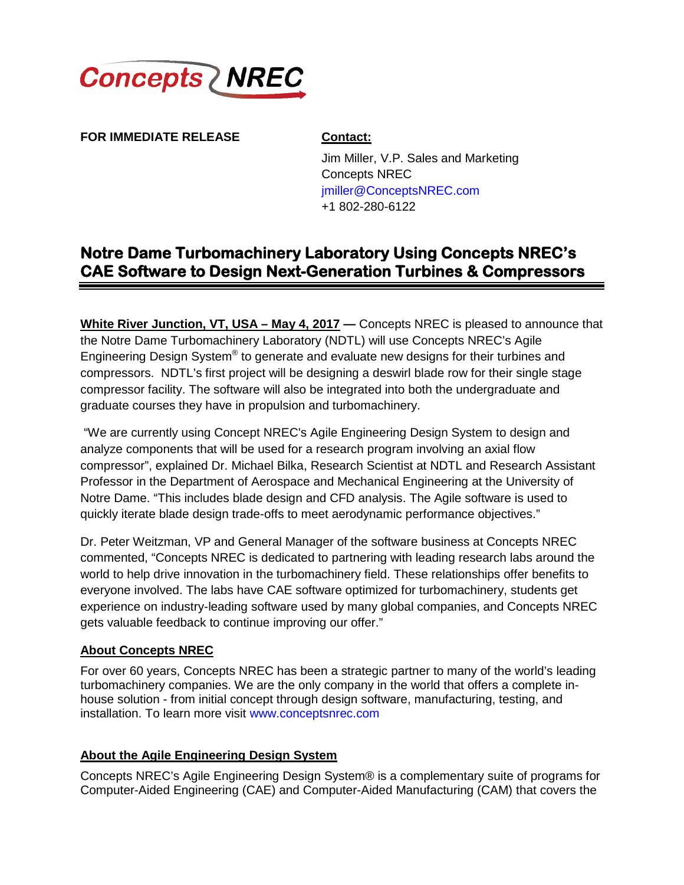

**FOR IMMEDIATE RELEASE Contact:**

Jim Miller, V.P. Sales and Marketing Concepts NREC [jmiller@ConceptsNREC.com](mailto:jmiller@ConceptsNREC.com) +1 802-280-6122

# **Notre Dame Turbomachinery Laboratory Using Concepts NREC's CAE Software to Design Next-Generation Turbines & Compressors**

**White River Junction, VT, USA – May 4, 2017 —** Concepts NREC is pleased to announce that the Notre Dame Turbomachinery Laboratory (NDTL) will use Concepts NREC's Agile Engineering Design System<sup>®</sup> to generate and evaluate new designs for their turbines and compressors. NDTL's first project will be designing a deswirl blade row for their single stage compressor facility. The software will also be integrated into both the undergraduate and graduate courses they have in propulsion and turbomachinery.

"We are currently using Concept NREC's Agile Engineering Design System to design and analyze components that will be used for a research program involving an axial flow compressor", explained Dr. Michael Bilka, Research Scientist at NDTL and Research Assistant Professor in the Department of Aerospace and Mechanical Engineering at the University of Notre Dame. "This includes blade design and CFD analysis. The Agile software is used to quickly iterate blade design trade-offs to meet aerodynamic performance objectives."

Dr. Peter Weitzman, VP and General Manager of the software business at Concepts NREC commented, "Concepts NREC is dedicated to partnering with leading research labs around the world to help drive innovation in the turbomachinery field. These relationships offer benefits to everyone involved. The labs have CAE software optimized for turbomachinery, students get experience on industry-leading software used by many global companies, and Concepts NREC gets valuable feedback to continue improving our offer."

## **About Concepts NREC**

For over 60 years, Concepts NREC has been a strategic partner to many of the world's leading turbomachinery companies. We are the only company in the world that offers a complete inhouse solution - from initial concept through design software, manufacturing, testing, and installation. To learn more visit [www.conceptsnrec.com](http://www.conceptsnrec.com/)

## **About the Agile Engineering Design System**

Concepts NREC's Agile Engineering Design System® is a complementary suite of programs for Computer-Aided Engineering (CAE) and Computer-Aided Manufacturing (CAM) that covers the